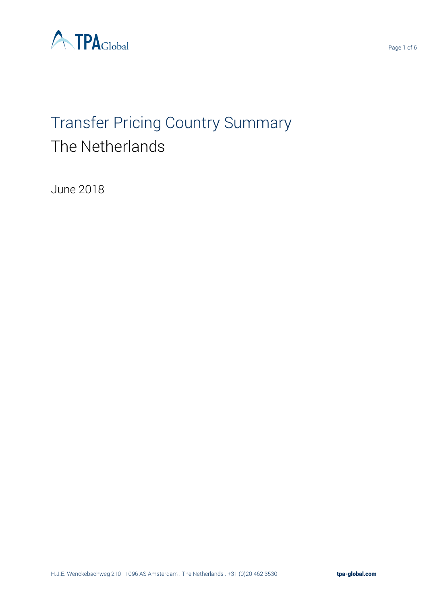

# Transfer Pricing Country Summary The Netherlands

June 2018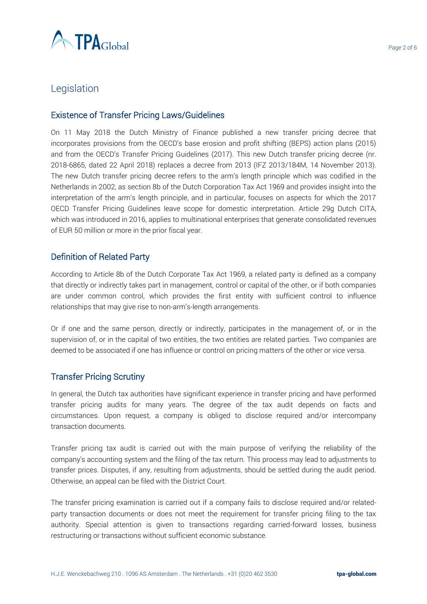

## Legislation

#### Existence of Transfer Pricing Laws/Guidelines

On 11 May 2018 the Dutch Ministry of Finance published a new transfer pricing decree that incorporates provisions from the OECD's base erosion and profit shifting (BEPS) action plans (2015) and from the OECD's Transfer Pricing Guidelines (2017). This new Dutch transfer pricing decree (nr. 2018-6865, dated 22 April 2018) replaces a decree from 2013 (IFZ 2013/184M, 14 November 2013). The new Dutch transfer pricing decree refers to the arm's length principle which was codified in the Netherlands in 2002, as section 8b of the Dutch Corporation Tax Act 1969 and provides insight into the interpretation of the arm's length principle, and in particular, focuses on aspects for which the 2017 OECD Transfer Pricing Guidelines leave scope for domestic interpretation. Article 29g Dutch CITA, which was introduced in 2016, applies to multinational enterprises that generate consolidated revenues of EUR 50 million or more in the prior fiscal year.

#### Definition of Related Party

According to Article 8b of the Dutch Corporate Tax Act 1969, a related party is defined as a company that directly or indirectly takes part in management, control or capital of the other, or if both companies are under common control, which provides the first entity with sufficient control to influence relationships that may give rise to non-arm's-length arrangements.

Or if one and the same person, directly or indirectly, participates in the management of, or in the supervision of, or in the capital of two entities, the two entities are related parties. Two companies are deemed to be associated if one has influence or control on pricing matters of the other or vice versa.

#### Transfer Pricing Scrutiny

In general, the Dutch tax authorities have significant experience in transfer pricing and have performed transfer pricing audits for many years. The degree of the tax audit depends on facts and circumstances. Upon request, a company is obliged to disclose required and/or intercompany transaction documents.

Transfer pricing tax audit is carried out with the main purpose of verifying the reliability of the company's accounting system and the filing of the tax return. This process may lead to adjustments to transfer prices. Disputes, if any, resulting from adjustments, should be settled during the audit period. Otherwise, an appeal can be filed with the District Court.

The transfer pricing examination is carried out if a company fails to disclose required and/or relatedparty transaction documents or does not meet the requirement for transfer pricing filing to the tax authority. Special attention is given to transactions regarding carried-forward losses, business restructuring or transactions without sufficient economic substance.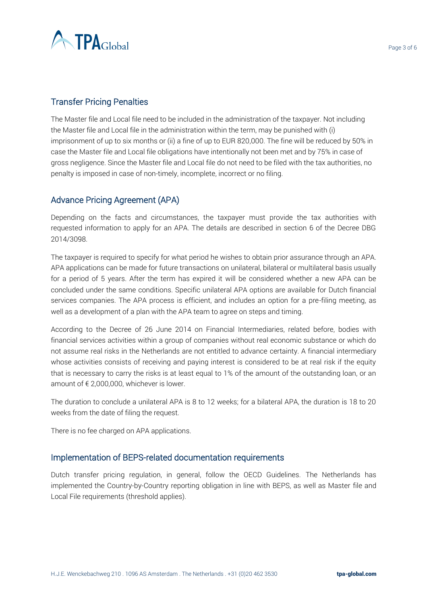

#### Transfer Pricing Penalties

The Master file and Local file need to be included in the administration of the taxpayer. Not including the Master file and Local file in the administration within the term, may be punished with (i) imprisonment of up to six months or (ii) a fine of up to EUR 820,000. The fine will be reduced by 50% in case the Master file and Local file obligations have intentionally not been met and by 75% in case of gross negligence. Since the Master file and Local file do not need to be filed with the tax authorities, no penalty is imposed in case of non-timely, incomplete, incorrect or no filing.

#### Advance Pricing Agreement (APA)

Depending on the facts and circumstances, the taxpayer must provide the tax authorities with requested information to apply for an APA. The details are described in section 6 of the Decree DBG 2014/3098.

The taxpayer is required to specify for what period he wishes to obtain prior assurance through an APA. APA applications can be made for future transactions on unilateral, bilateral or multilateral basis usually for a period of 5 years. After the term has expired it will be considered whether a new APA can be concluded under the same conditions. Specific unilateral APA options are available for Dutch financial services companies. The APA process is efficient, and includes an option for a pre-filing meeting, as well as a development of a plan with the APA team to agree on steps and timing.

According to the Decree of 26 June 2014 on Financial Intermediaries, related before, bodies with financial services activities within a group of companies without real economic substance or which do not assume real risks in the Netherlands are not entitled to advance certainty. A financial intermediary whose activities consists of receiving and paying interest is considered to be at real risk if the equity that is necessary to carry the risks is at least equal to 1% of the amount of the outstanding loan, or an amount of  $\epsilon$  2,000,000, whichever is lower.

The duration to conclude a unilateral APA is 8 to 12 weeks; for a bilateral APA, the duration is 18 to 20 weeks from the date of filing the request.

There is no fee charged on APA applications.

#### Implementation of BEPS-related documentation requirements

Dutch transfer pricing regulation, in general, follow the OECD Guidelines. The Netherlands has implemented the Country-by-Country reporting obligation in line with BEPS, as well as Master file and Local File requirements (threshold applies).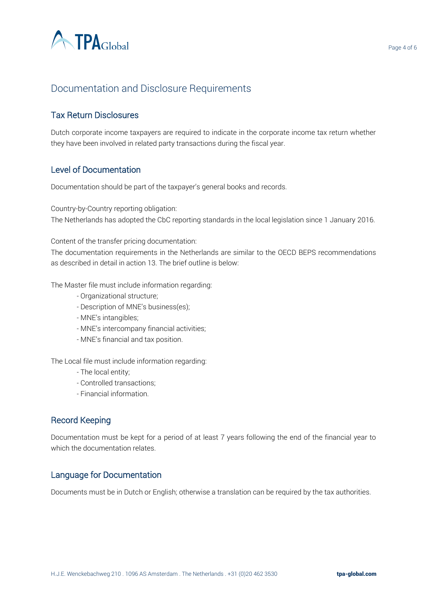

# Documentation and Disclosure Requirements

## Tax Return Disclosures

Dutch corporate income taxpayers are required to indicate in the corporate income tax return whether they have been involved in related party transactions during the fiscal year.

#### Level of Documentation

Documentation should be part of the taxpayer's general books and records.

Country-by-Country reporting obligation: The Netherlands has adopted the CbC reporting standards in the local legislation since 1 January 2016.

Content of the transfer pricing documentation:

The documentation requirements in the Netherlands are similar to the OECD BEPS recommendations as described in detail in action 13. The brief outline is below:

The Master file must include information regarding:

- Organizational structure;
- Description of MNE's business(es);
- MNE's intangibles;
- MNE's intercompany financial activities;
- MNE's financial and tax position.

The Local file must include information regarding:

- The local entity;
- Controlled transactions;
- Financial information.

#### Record Keeping

Documentation must be kept for a period of at least 7 years following the end of the financial year to which the documentation relates.

#### Language for Documentation

Documents must be in Dutch or English; otherwise a translation can be required by the tax authorities.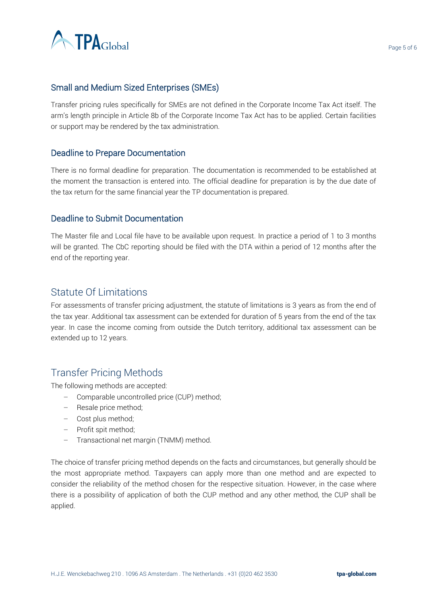

## Small and Medium Sized Enterprises (SMEs)

Transfer pricing rules specifically for SMEs are not defined in the Corporate Income Tax Act itself. The arm's length principle in Article 8b of the Corporate Income Tax Act has to be applied. Certain facilities or support may be rendered by the tax administration.

#### Deadline to Prepare Documentation

There is no formal deadline for preparation. The documentation is recommended to be established at the moment the transaction is entered into. The official deadline for preparation is by the due date of the tax return for the same financial year the TP documentation is prepared.

#### Deadline to Submit Documentation

The Master file and Local file have to be available upon request. In practice a period of 1 to 3 months will be granted. The CbC reporting should be filed with the DTA within a period of 12 months after the end of the reporting year.

## Statute Of Limitations

For assessments of transfer pricing adjustment, the statute of limitations is 3 years as from the end of the tax year. Additional tax assessment can be extended for duration of 5 years from the end of the tax year. In case the income coming from outside the Dutch territory, additional tax assessment can be extended up to 12 years.

## Transfer Pricing Methods

The following methods are accepted:

- − Comparable uncontrolled price (CUP) method;
- − Resale price method;
- − Cost plus method;
- − Profit spit method;
- − Transactional net margin (TNMM) method.

The choice of transfer pricing method depends on the facts and circumstances, but generally should be the most appropriate method. Taxpayers can apply more than one method and are expected to consider the reliability of the method chosen for the respective situation. However, in the case where there is a possibility of application of both the CUP method and any other method, the CUP shall be applied.